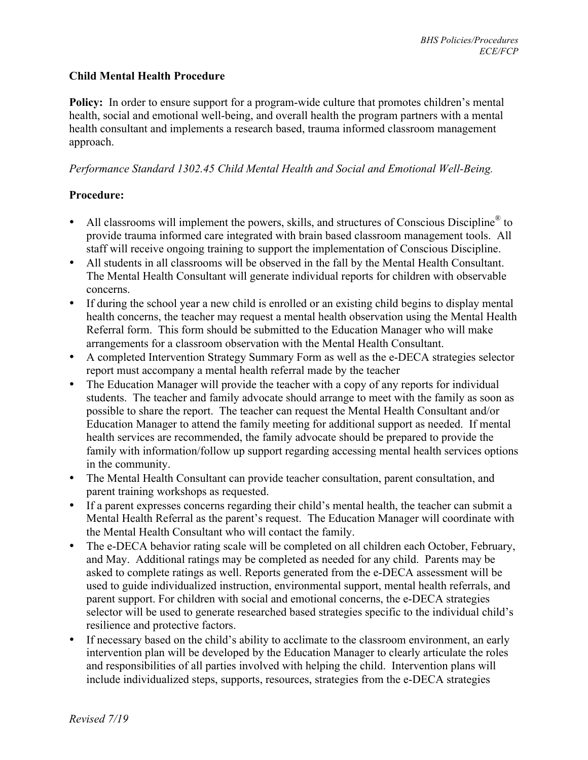## **Child Mental Health Procedure**

**Policy:** In order to ensure support for a program-wide culture that promotes children's mental health, social and emotional well-being, and overall health the program partners with a mental health consultant and implements a research based, trauma informed classroom management approach.

## *Performance Standard 1302.45 Child Mental Health and Social and Emotional Well-Being.*

## **Procedure:**

- All classrooms will implement the powers, skills, and structures of Conscious Discipline<sup>®</sup> to provide trauma informed care integrated with brain based classroom management tools. All staff will receive ongoing training to support the implementation of Conscious Discipline.
- All students in all classrooms will be observed in the fall by the Mental Health Consultant. The Mental Health Consultant will generate individual reports for children with observable concerns.
- If during the school year a new child is enrolled or an existing child begins to display mental health concerns, the teacher may request a mental health observation using the Mental Health Referral form. This form should be submitted to the Education Manager who will make arrangements for a classroom observation with the Mental Health Consultant.
- A completed Intervention Strategy Summary Form as well as the e-DECA strategies selector report must accompany a mental health referral made by the teacher
- The Education Manager will provide the teacher with a copy of any reports for individual students. The teacher and family advocate should arrange to meet with the family as soon as possible to share the report. The teacher can request the Mental Health Consultant and/or Education Manager to attend the family meeting for additional support as needed. If mental health services are recommended, the family advocate should be prepared to provide the family with information/follow up support regarding accessing mental health services options in the community.
- The Mental Health Consultant can provide teacher consultation, parent consultation, and parent training workshops as requested.
- If a parent expresses concerns regarding their child's mental health, the teacher can submit a Mental Health Referral as the parent's request. The Education Manager will coordinate with the Mental Health Consultant who will contact the family.
- The e-DECA behavior rating scale will be completed on all children each October, February, and May. Additional ratings may be completed as needed for any child. Parents may be asked to complete ratings as well. Reports generated from the e-DECA assessment will be used to guide individualized instruction, environmental support, mental health referrals, and parent support. For children with social and emotional concerns, the e-DECA strategies selector will be used to generate researched based strategies specific to the individual child's resilience and protective factors.
- If necessary based on the child's ability to acclimate to the classroom environment, an early intervention plan will be developed by the Education Manager to clearly articulate the roles and responsibilities of all parties involved with helping the child. Intervention plans will include individualized steps, supports, resources, strategies from the e-DECA strategies